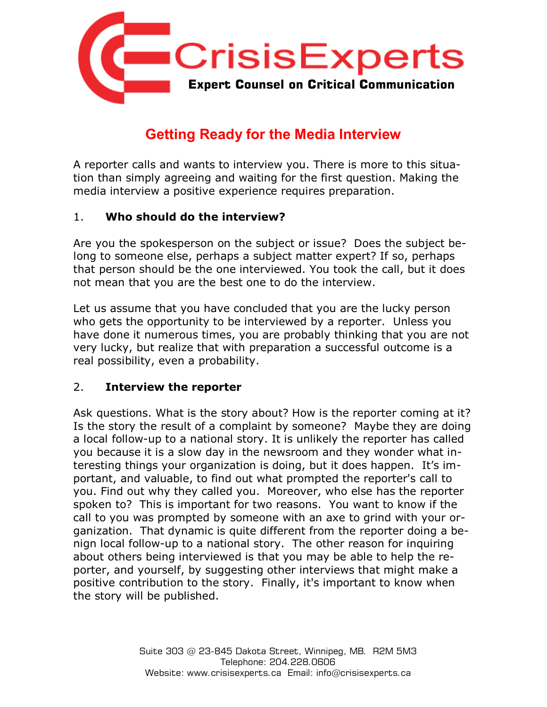

# **Getting Ready for the Media Interview**

A reporter calls and wants to interview you. There is more to this situation than simply agreeing and waiting for the first question. Making the media interview a positive experience requires preparation.

#### 1. **Who should do the interview?**

Are you the spokesperson on the subject or issue? Does the subject belong to someone else, perhaps a subject matter expert? If so, perhaps that person should be the one interviewed. You took the call, but it does not mean that you are the best one to do the interview.

Let us assume that you have concluded that you are the lucky person who gets the opportunity to be interviewed by a reporter. Unless you have done it numerous times, you are probably thinking that you are not very lucky, but realize that with preparation a successful outcome is a real possibility, even a probability.

#### 2. **Interview the reporter**

Ask questions. What is the story about? How is the reporter coming at it? Is the story the result of a complaint by someone? Maybe they are doing a local follow-up to a national story. It is unlikely the reporter has called you because it is a slow day in the newsroom and they wonder what interesting things your organization is doing, but it does happen. It's important, and valuable, to find out what prompted the reporter's call to you. Find out why they called you. Moreover, who else has the reporter spoken to? This is important for two reasons. You want to know if the call to you was prompted by someone with an axe to grind with your organization. That dynamic is quite different from the reporter doing a benign local follow-up to a national story. The other reason for inquiring about others being interviewed is that you may be able to help the reporter, and yourself, by suggesting other interviews that might make a positive contribution to the story. Finally, it's important to know when the story will be published.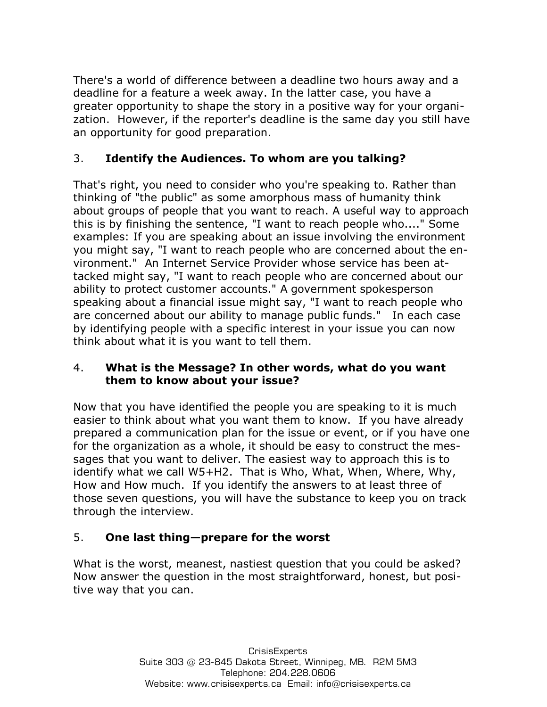There's a world of difference between a deadline two hours away and a deadline for a feature a week away. In the latter case, you have a greater opportunity to shape the story in a positive way for your organization. However, if the reporter's deadline is the same day you still have an opportunity for good preparation.

### 3. **Identify the Audiences. To whom are you talking?**

That's right, you need to consider who you're speaking to. Rather than thinking of "the public" as some amorphous mass of humanity think about groups of people that you want to reach. A useful way to approach this is by finishing the sentence, "I want to reach people who...." Some examples: If you are speaking about an issue involving the environment you might say, "I want to reach people who are concerned about the environment." An Internet Service Provider whose service has been attacked might say, "I want to reach people who are concerned about our ability to protect customer accounts." A government spokesperson speaking about a financial issue might say, "I want to reach people who are concerned about our ability to manage public funds." In each case by identifying people with a specific interest in your issue you can now think about what it is you want to tell them.

#### 4. **What is the Message? In other words, what do you want them to know about your issue?**

Now that you have identified the people you are speaking to it is much easier to think about what you want them to know. If you have already prepared a communication plan for the issue or event, or if you have one for the organization as a whole, it should be easy to construct the messages that you want to deliver. The easiest way to approach this is to identify what we call W5+H2. That is Who, What, When, Where, Why, How and How much. If you identify the answers to at least three of those seven questions, you will have the substance to keep you on track through the interview.

## 5. **One last thing—prepare for the worst**

What is the worst, meanest, nastiest question that you could be asked? Now answer the question in the most straightforward, honest, but positive way that you can.